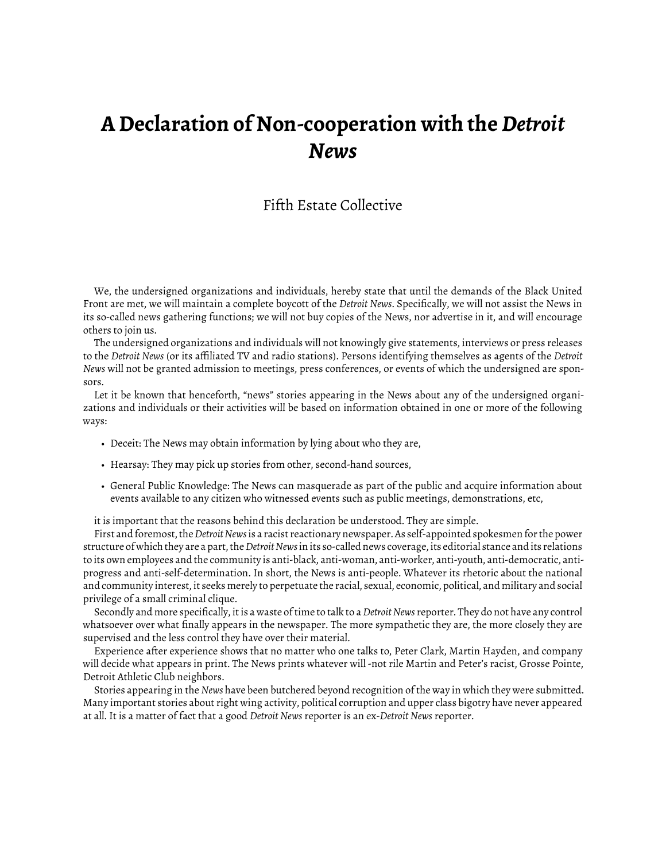## **A Declaration of Non-cooperation with the** *Detroit News*

## Fifth Estate Collective

We, the undersigned organizations and individuals, hereby state that until the demands of the Black United Front are met, we will maintain a complete boycott of the *Detroit News*. Specifically, we will not assist the News in its so-called news gathering functions; we will not buy copies of the News, nor advertise in it, and will encourage others to join us.

The undersigned organizations and individuals will not knowingly give statements, interviews or press releases to the *Detroit News* (or its affiliated TV and radio stations). Persons identifying themselves as agents of the *Detroit News* will not be granted admission to meetings, press conferences, or events of which the undersigned are sponsors.

Let it be known that henceforth, "news" stories appearing in the News about any of the undersigned organizations and individuals or their activities will be based on information obtained in one or more of the following ways:

- Deceit: The News may obtain information by lying about who they are,
- Hearsay: They may pick up stories from other, second-hand sources,
- General Public Knowledge: The News can masquerade as part of the public and acquire information about events available to any citizen who witnessed events such as public meetings, demonstrations, etc,

it is important that the reasons behind this declaration be understood. They are simple.

First and foremost, the*Detroit News*is a racist reactionary newspaper. As self-appointed spokesmen for the power structure of which they are a part, the*Detroit News*in its so-called news coverage, its editorial stance and its relations to its own employees and the community is anti-black, anti-woman, anti-worker, anti-youth, anti-democratic, antiprogress and anti-self-determination. In short, the News is anti-people. Whatever its rhetoric about the national and community interest, it seeks merely to perpetuate the racial, sexual, economic, political, and military and social privilege of a small criminal clique.

Secondly and more specifically, it is a waste of time to talk to a*Detroit News*reporter. They do not have any control whatsoever over what finally appears in the newspaper. The more sympathetic they are, the more closely they are supervised and the less control they have over their material.

Experience after experience shows that no matter who one talks to, Peter Clark, Martin Hayden, and company will decide what appears in print. The News prints whatever will -not rile Martin and Peter's racist, Grosse Pointe, Detroit Athletic Club neighbors.

Stories appearing in the *News* have been butchered beyond recognition of the way in which they were submitted. Many important stories about right wing activity, political corruption and upper class bigotry have never appeared at all. It is a matter of fact that a good *Detroit News* reporter is an ex-*Detroit News* reporter.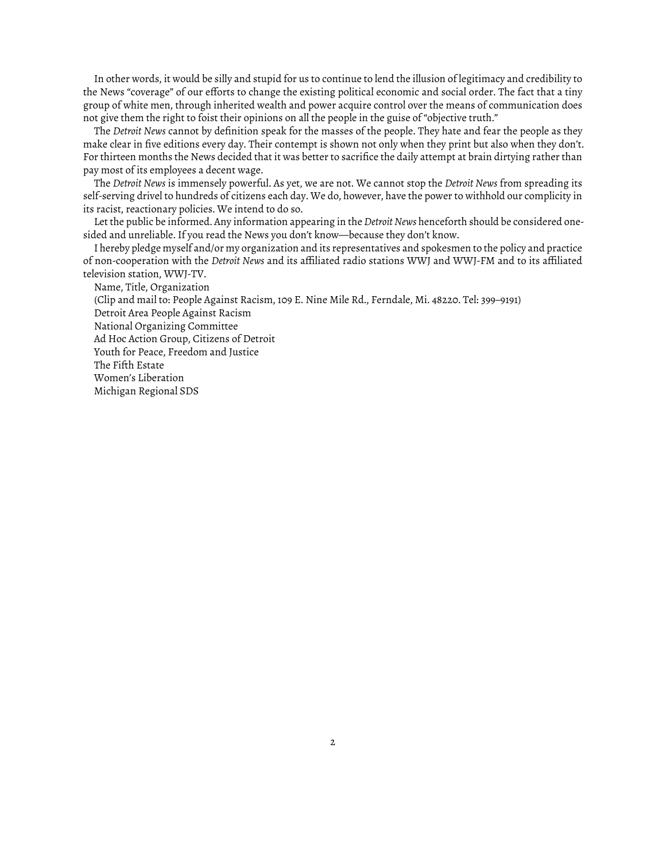In other words, it would be silly and stupid for us to continue to lend the illusion of legitimacy and credibility to the News "coverage" of our efforts to change the existing political economic and social order. The fact that a tiny group of white men, through inherited wealth and power acquire control over the means of communication does not give them the right to foist their opinions on all the people in the guise of "objective truth."

The *Detroit News* cannot by definition speak for the masses of the people. They hate and fear the people as they make clear in five editions every day. Their contempt is shown not only when they print but also when they don't. For thirteen months the News decided that it was better to sacrifice the daily attempt at brain dirtying rather than pay most of its employees a decent wage.

The *Detroit News* is immensely powerful. As yet, we are not. We cannot stop the *Detroit News* from spreading its self-serving drivel to hundreds of citizens each day. We do, however, have the power to withhold our complicity in its racist, reactionary policies. We intend to do so.

Let the public be informed. Any information appearing in the *Detroit News* henceforth should be considered onesided and unreliable. If you read the News you don't know—because they don't know.

I hereby pledge myself and/or my organization and its representatives and spokesmen to the policy and practice of non-cooperation with the *Detroit News* and its affiliated radio stations WWJ and WWJ-FM and to its affiliated television station, WWJ-TV.

Name, Title, Organization

(Clip and mail to: People Against Racism, 109 E. Nine Mile Rd., Ferndale, Mi. 48220. Tel: 399–9191)

Detroit Area People Against Racism

National Organizing Committee

Ad Hoc Action Group, Citizens of Detroit

Youth for Peace, Freedom and Justice

The Fifth Estate

Women's Liberation

Michigan Regional SDS